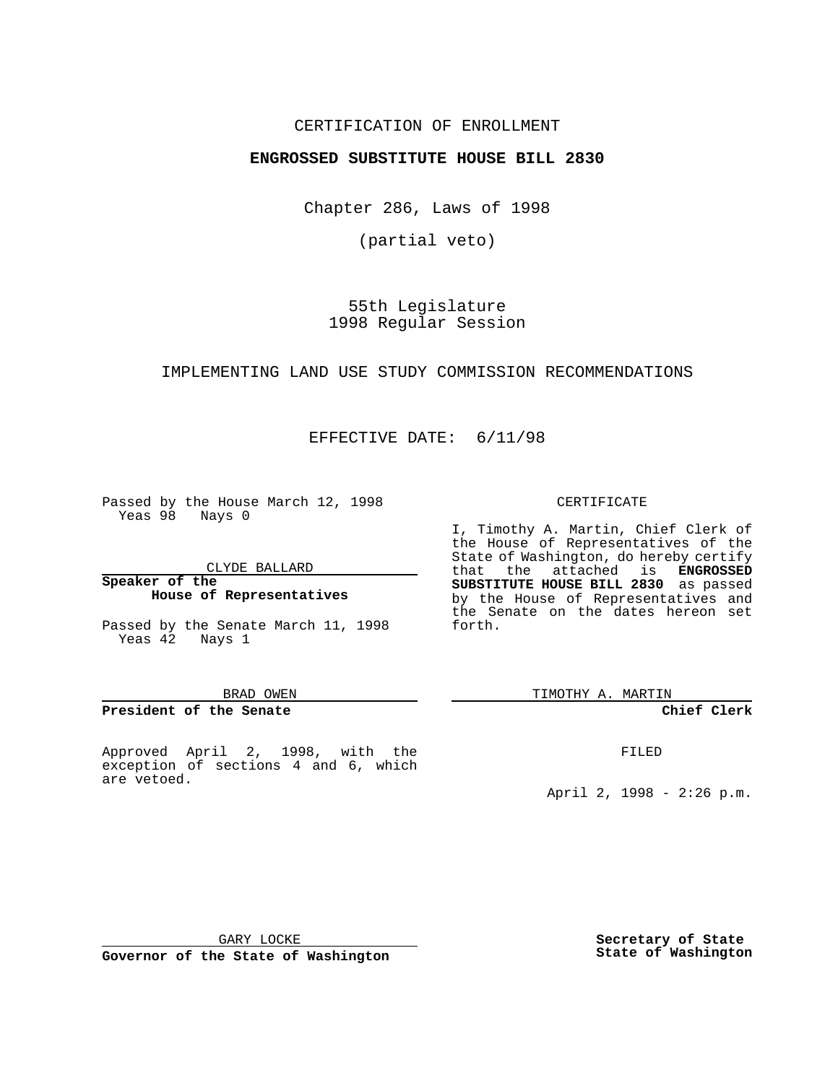## CERTIFICATION OF ENROLLMENT

# **ENGROSSED SUBSTITUTE HOUSE BILL 2830**

Chapter 286, Laws of 1998

(partial veto)

55th Legislature 1998 Regular Session

### IMPLEMENTING LAND USE STUDY COMMISSION RECOMMENDATIONS

# EFFECTIVE DATE: 6/11/98

Passed by the House March 12, 1998 Yeas 98 Nays 0

CLYDE BALLARD

#### **Speaker of the House of Representatives**

Passed by the Senate March 11, 1998 Yeas 42 Nays 1

#### BRAD OWEN

## **President of the Senate**

Approved April 2, 1998, with the exception of sections 4 and 6, which are vetoed.

#### CERTIFICATE

I, Timothy A. Martin, Chief Clerk of the House of Representatives of the State of Washington, do hereby certify that the attached is **ENGROSSED SUBSTITUTE HOUSE BILL 2830** as passed by the House of Representatives and the Senate on the dates hereon set forth.

TIMOTHY A. MARTIN

# **Chief Clerk**

FILED

April 2, 1998 - 2:26 p.m.

GARY LOCKE

**Governor of the State of Washington**

**Secretary of State State of Washington**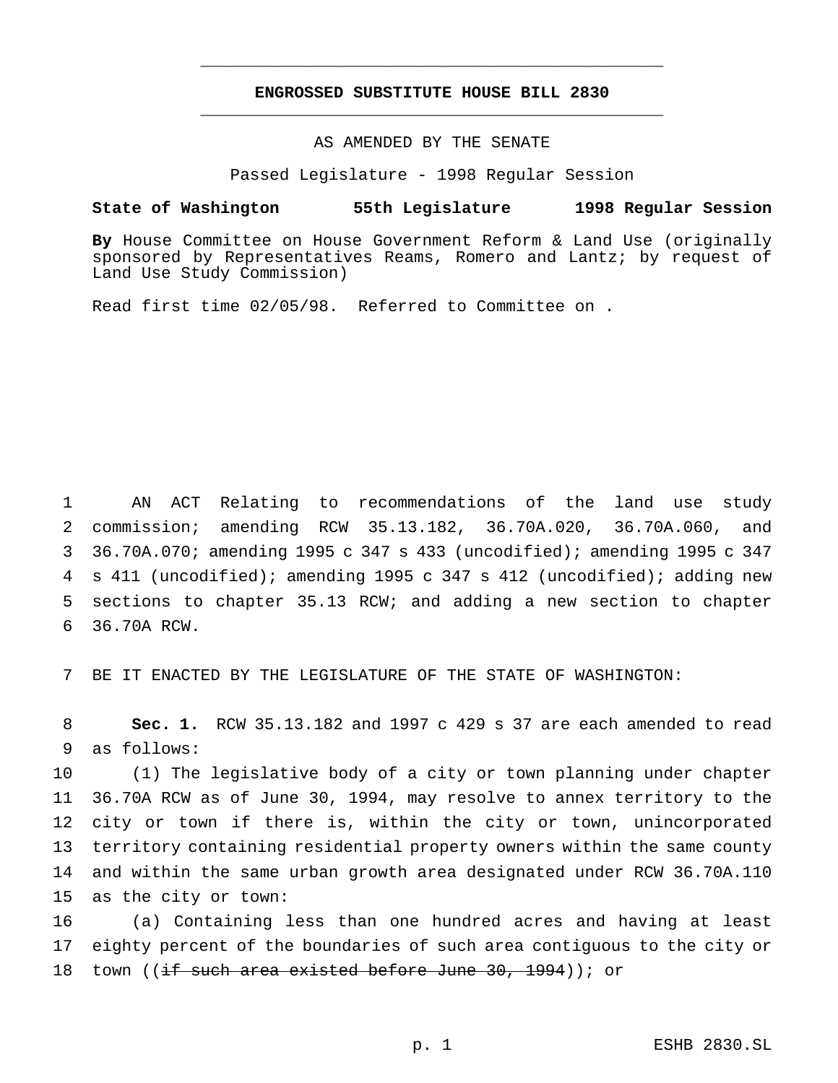# **ENGROSSED SUBSTITUTE HOUSE BILL 2830** \_\_\_\_\_\_\_\_\_\_\_\_\_\_\_\_\_\_\_\_\_\_\_\_\_\_\_\_\_\_\_\_\_\_\_\_\_\_\_\_\_\_\_\_\_\_\_

\_\_\_\_\_\_\_\_\_\_\_\_\_\_\_\_\_\_\_\_\_\_\_\_\_\_\_\_\_\_\_\_\_\_\_\_\_\_\_\_\_\_\_\_\_\_\_

## AS AMENDED BY THE SENATE

Passed Legislature - 1998 Regular Session

#### **State of Washington 55th Legislature 1998 Regular Session**

**By** House Committee on House Government Reform & Land Use (originally sponsored by Representatives Reams, Romero and Lantz; by request of Land Use Study Commission)

Read first time 02/05/98. Referred to Committee on .

 AN ACT Relating to recommendations of the land use study commission; amending RCW 35.13.182, 36.70A.020, 36.70A.060, and 36.70A.070; amending 1995 c 347 s 433 (uncodified); amending 1995 c 347 s 411 (uncodified); amending 1995 c 347 s 412 (uncodified); adding new sections to chapter 35.13 RCW; and adding a new section to chapter 36.70A RCW.

7 BE IT ENACTED BY THE LEGISLATURE OF THE STATE OF WASHINGTON:

8 **Sec. 1.** RCW 35.13.182 and 1997 c 429 s 37 are each amended to read 9 as follows:

 (1) The legislative body of a city or town planning under chapter 36.70A RCW as of June 30, 1994, may resolve to annex territory to the city or town if there is, within the city or town, unincorporated territory containing residential property owners within the same county and within the same urban growth area designated under RCW 36.70A.110 as the city or town:

16 (a) Containing less than one hundred acres and having at least 17 eighty percent of the boundaries of such area contiguous to the city or 18 town ((if such area existed before June 30, 1994)); or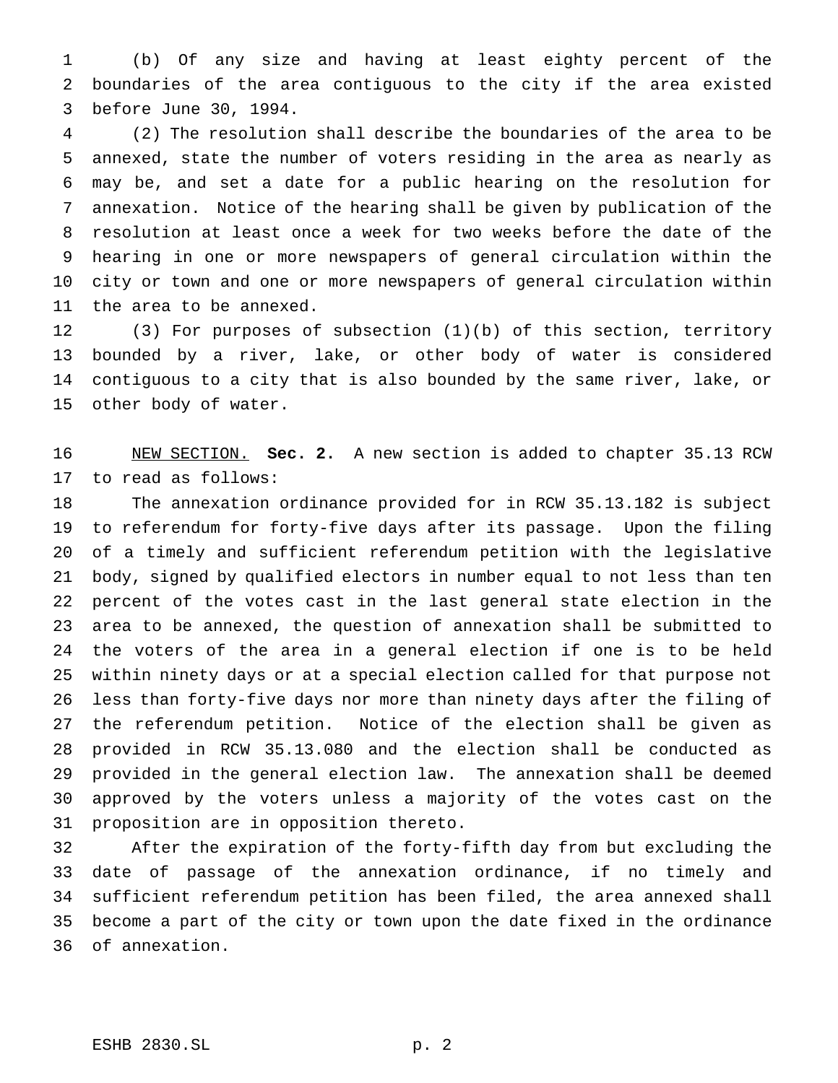(b) Of any size and having at least eighty percent of the boundaries of the area contiguous to the city if the area existed before June 30, 1994.

 (2) The resolution shall describe the boundaries of the area to be annexed, state the number of voters residing in the area as nearly as may be, and set a date for a public hearing on the resolution for annexation. Notice of the hearing shall be given by publication of the resolution at least once a week for two weeks before the date of the hearing in one or more newspapers of general circulation within the city or town and one or more newspapers of general circulation within the area to be annexed.

 (3) For purposes of subsection (1)(b) of this section, territory bounded by a river, lake, or other body of water is considered contiguous to a city that is also bounded by the same river, lake, or other body of water.

 NEW SECTION. **Sec. 2.** A new section is added to chapter 35.13 RCW to read as follows:

 The annexation ordinance provided for in RCW 35.13.182 is subject to referendum for forty-five days after its passage. Upon the filing of a timely and sufficient referendum petition with the legislative body, signed by qualified electors in number equal to not less than ten percent of the votes cast in the last general state election in the area to be annexed, the question of annexation shall be submitted to the voters of the area in a general election if one is to be held within ninety days or at a special election called for that purpose not less than forty-five days nor more than ninety days after the filing of the referendum petition. Notice of the election shall be given as provided in RCW 35.13.080 and the election shall be conducted as provided in the general election law. The annexation shall be deemed approved by the voters unless a majority of the votes cast on the proposition are in opposition thereto.

 After the expiration of the forty-fifth day from but excluding the date of passage of the annexation ordinance, if no timely and sufficient referendum petition has been filed, the area annexed shall become a part of the city or town upon the date fixed in the ordinance of annexation.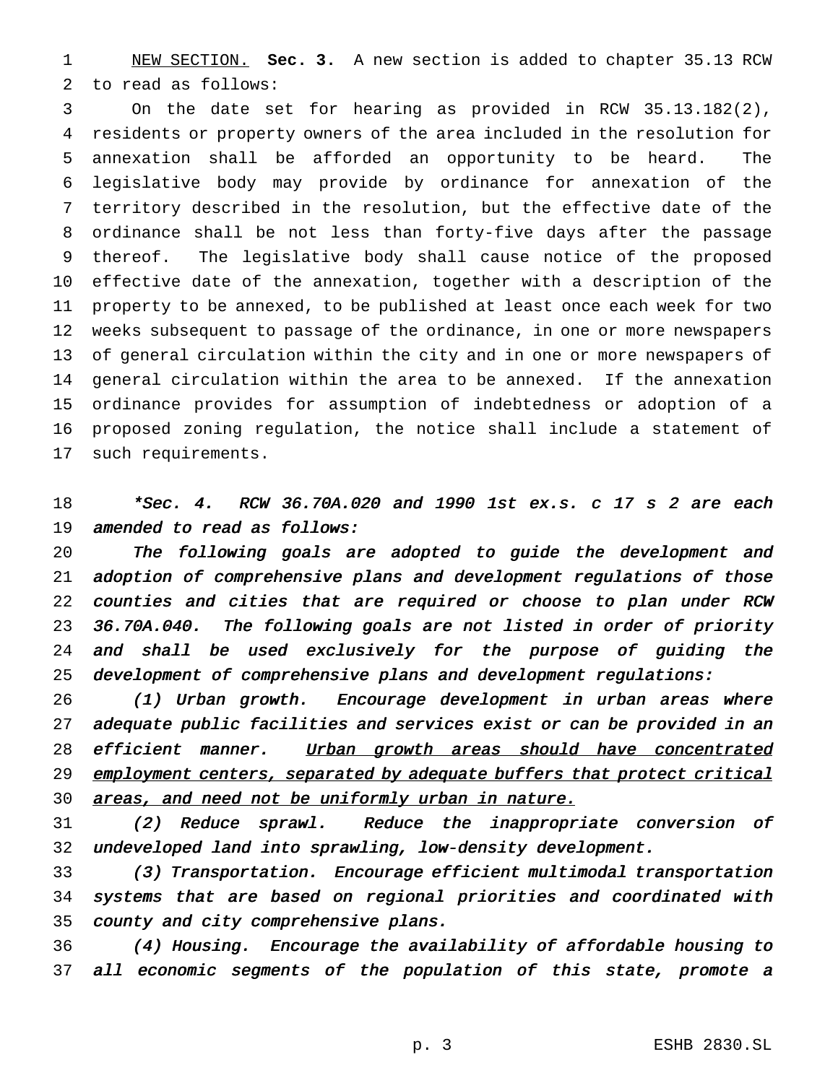NEW SECTION. **Sec. 3.** A new section is added to chapter 35.13 RCW to read as follows:

 On the date set for hearing as provided in RCW 35.13.182(2), residents or property owners of the area included in the resolution for annexation shall be afforded an opportunity to be heard. The legislative body may provide by ordinance for annexation of the territory described in the resolution, but the effective date of the ordinance shall be not less than forty-five days after the passage thereof. The legislative body shall cause notice of the proposed effective date of the annexation, together with a description of the property to be annexed, to be published at least once each week for two weeks subsequent to passage of the ordinance, in one or more newspapers of general circulation within the city and in one or more newspapers of general circulation within the area to be annexed. If the annexation ordinance provides for assumption of indebtedness or adoption of a proposed zoning regulation, the notice shall include a statement of such requirements.

# 18 \*Sec. 4. RCW 36.70A.020 and 1990 1st ex.s. c 17 s 2 are each amended to read as follows:

 The following goals are adopted to guide the development and adoption of comprehensive plans and development regulations of those counties and cities that are required or choose to plan under RCW 36.70A.040. The following goals are not listed in order of priority and shall be used exclusively for the purpose of guiding the development of comprehensive plans and development regulations:

 (1) Urban growth. Encourage development in urban areas where adequate public facilities and services exist or can be provided in an 28 efficient manner. Urban growth areas should have concentrated 29 employment centers, separated by adequate buffers that protect critical 30 areas, and need not be uniformly urban in nature.

 (2) Reduce sprawl. Reduce the inappropriate conversion of undeveloped land into sprawling, low-density development.

 (3) Transportation. Encourage efficient multimodal transportation systems that are based on regional priorities and coordinated with county and city comprehensive plans.

 (4) Housing. Encourage the availability of affordable housing to all economic segments of the population of this state, promote <sup>a</sup>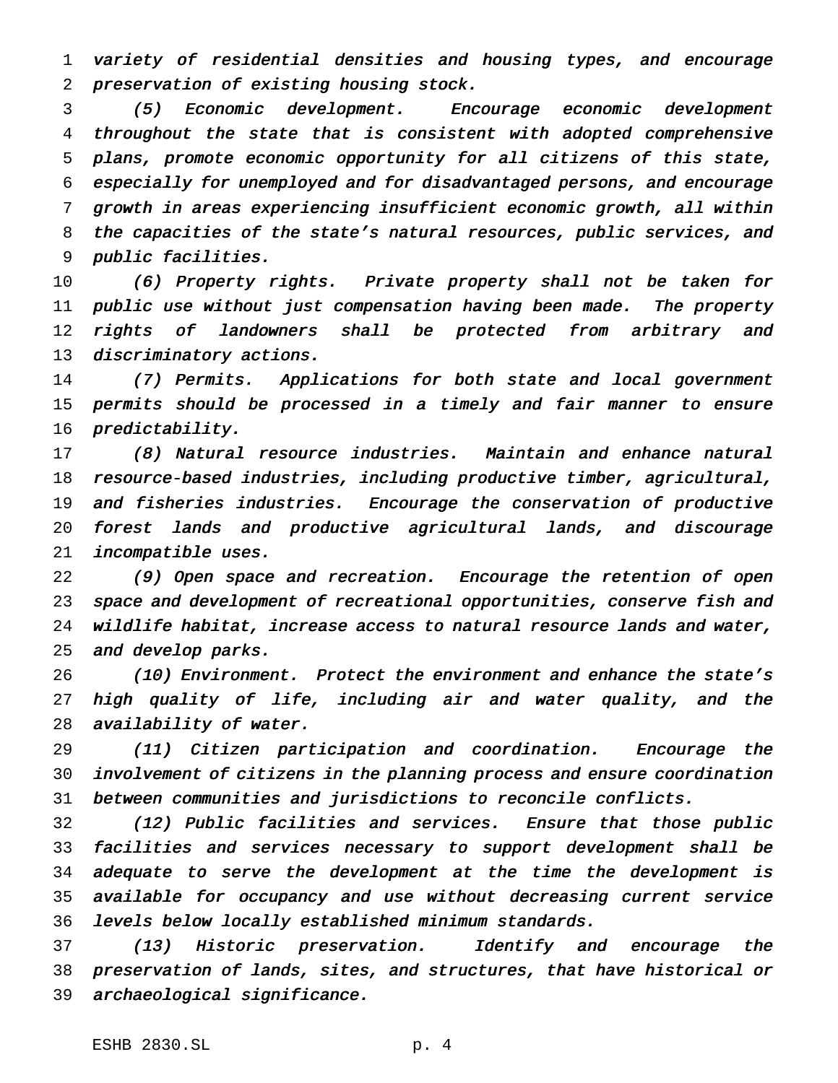variety of residential densities and housing types, and encourage preservation of existing housing stock.

 (5) Economic development. Encourage economic development throughout the state that is consistent with adopted comprehensive plans, promote economic opportunity for all citizens of this state, especially for unemployed and for disadvantaged persons, and encourage growth in areas experiencing insufficient economic growth, all within the capacities of the state's natural resources, public services, and public facilities.

 (6) Property rights. Private property shall not be taken for public use without just compensation having been made. The property 12 rights of landowners shall be protected from arbitrary and 13 discriminatory actions.

 (7) Permits. Applications for both state and local government permits should be processed in <sup>a</sup> timely and fair manner to ensure predictability.

 (8) Natural resource industries. Maintain and enhance natural resource-based industries, including productive timber, agricultural, 19 and fisheries industries. Encourage the conservation of productive forest lands and productive agricultural lands, and discourage incompatible uses.

 (9) Open space and recreation. Encourage the retention of open space and development of recreational opportunities, conserve fish and wildlife habitat, increase access to natural resource lands and water, and develop parks.

 (10) Environment. Protect the environment and enhance the state's high quality of life, including air and water quality, and the availability of water.

 (11) Citizen participation and coordination. Encourage the involvement of citizens in the planning process and ensure coordination between communities and jurisdictions to reconcile conflicts.

 (12) Public facilities and services. Ensure that those public facilities and services necessary to support development shall be adequate to serve the development at the time the development is available for occupancy and use without decreasing current service levels below locally established minimum standards.

 (13) Historic preservation. Identify and encourage the preservation of lands, sites, and structures, that have historical or archaeological significance.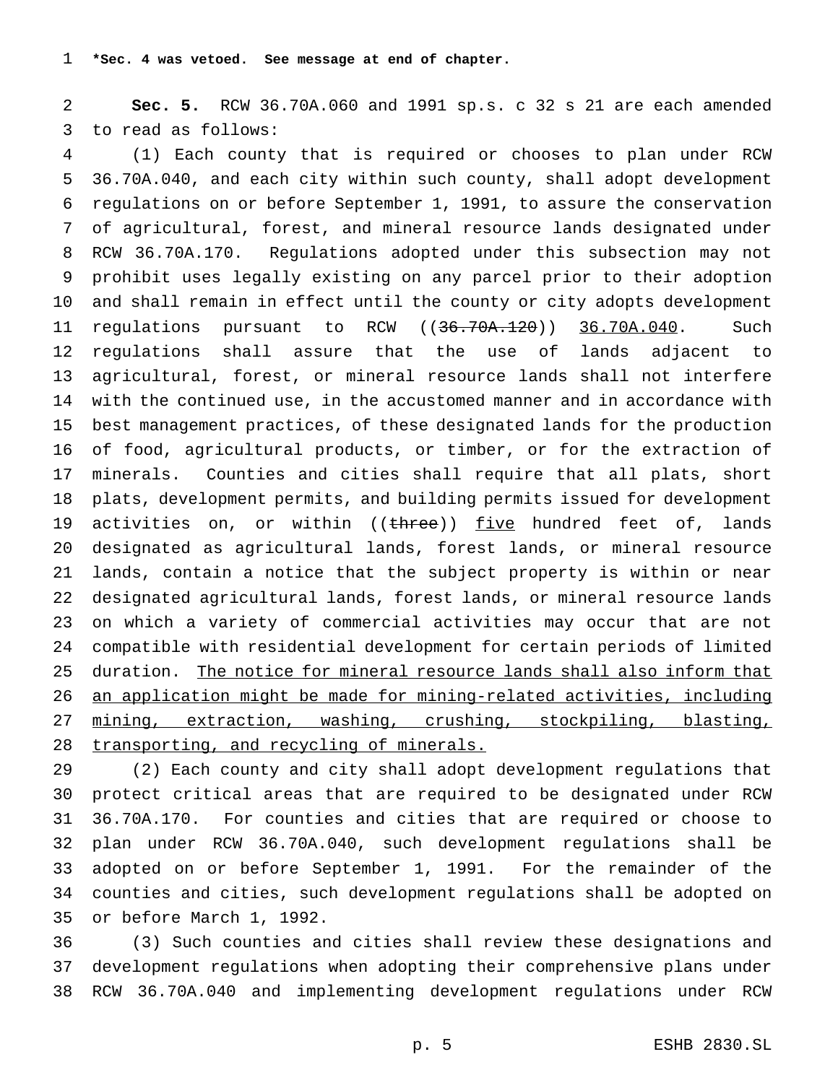**Sec. 5.** RCW 36.70A.060 and 1991 sp.s. c 32 s 21 are each amended to read as follows:

 (1) Each county that is required or chooses to plan under RCW 36.70A.040, and each city within such county, shall adopt development regulations on or before September 1, 1991, to assure the conservation of agricultural, forest, and mineral resource lands designated under RCW 36.70A.170. Regulations adopted under this subsection may not prohibit uses legally existing on any parcel prior to their adoption and shall remain in effect until the county or city adopts development 11 regulations pursuant to RCW ((36.70A.120)) 36.70A.040. Such regulations shall assure that the use of lands adjacent to agricultural, forest, or mineral resource lands shall not interfere with the continued use, in the accustomed manner and in accordance with best management practices, of these designated lands for the production of food, agricultural products, or timber, or for the extraction of minerals. Counties and cities shall require that all plats, short plats, development permits, and building permits issued for development 19 activities on, or within ((three)) five hundred feet of, lands designated as agricultural lands, forest lands, or mineral resource lands, contain a notice that the subject property is within or near designated agricultural lands, forest lands, or mineral resource lands on which a variety of commercial activities may occur that are not compatible with residential development for certain periods of limited duration. The notice for mineral resource lands shall also inform that an application might be made for mining-related activities, including mining, extraction, washing, crushing, stockpiling, blasting, transporting, and recycling of minerals.

 (2) Each county and city shall adopt development regulations that protect critical areas that are required to be designated under RCW 36.70A.170. For counties and cities that are required or choose to plan under RCW 36.70A.040, such development regulations shall be adopted on or before September 1, 1991. For the remainder of the counties and cities, such development regulations shall be adopted on or before March 1, 1992.

 (3) Such counties and cities shall review these designations and development regulations when adopting their comprehensive plans under RCW 36.70A.040 and implementing development regulations under RCW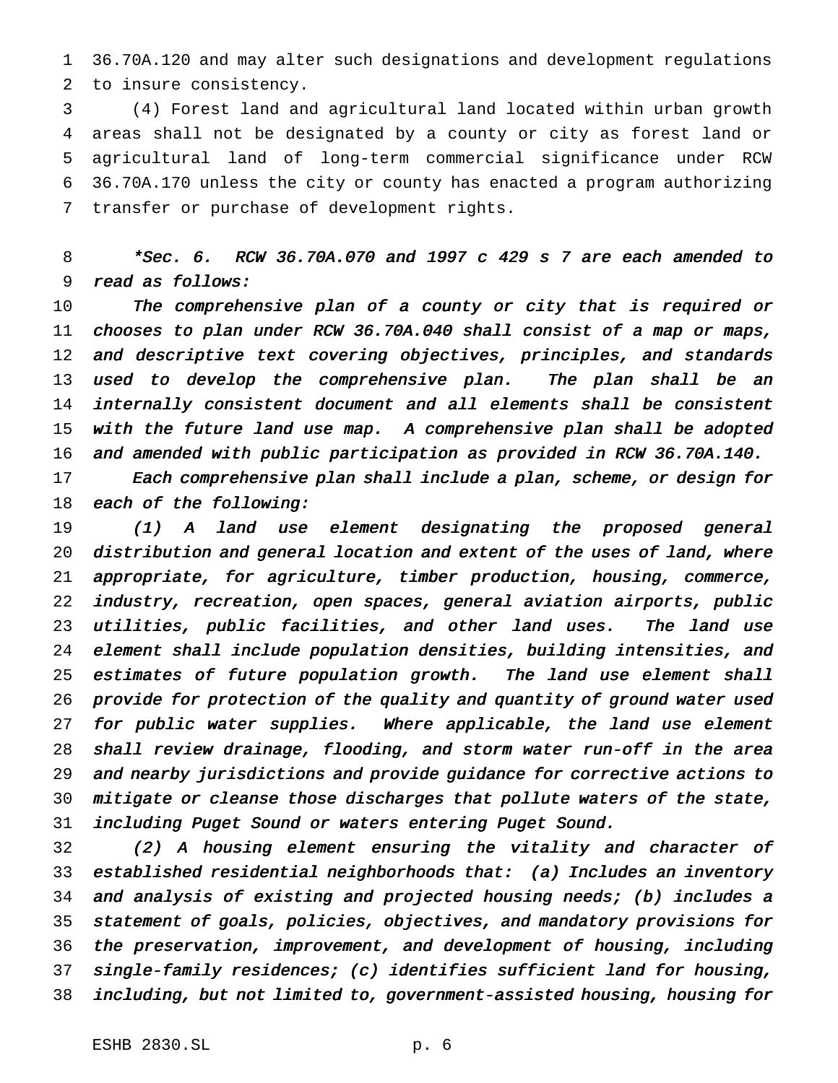36.70A.120 and may alter such designations and development regulations to insure consistency.

 (4) Forest land and agricultural land located within urban growth areas shall not be designated by a county or city as forest land or agricultural land of long-term commercial significance under RCW 36.70A.170 unless the city or county has enacted a program authorizing transfer or purchase of development rights.

 \*Sec. 6. RCW 36.70A.070 and <sup>1997</sup> <sup>c</sup> <sup>429</sup> <sup>s</sup> <sup>7</sup> are each amended to read as follows:

 The comprehensive plan of <sup>a</sup> county or city that is required or chooses to plan under RCW 36.70A.040 shall consist of <sup>a</sup> map or maps, and descriptive text covering objectives, principles, and standards 13 used to develop the comprehensive plan. The plan shall be an internally consistent document and all elements shall be consistent with the future land use map. <sup>A</sup> comprehensive plan shall be adopted and amended with public participation as provided in RCW 36.70A.140.

 Each comprehensive plan shall include <sup>a</sup> plan, scheme, or design for 18 each of the following:

 (1) <sup>A</sup> land use element designating the proposed general distribution and general location and extent of the uses of land, where appropriate, for agriculture, timber production, housing, commerce, industry, recreation, open spaces, general aviation airports, public utilities, public facilities, and other land uses. The land use element shall include population densities, building intensities, and 25 estimates of future population growth. The land use element shall provide for protection of the quality and quantity of ground water used 27 for public water supplies. Where applicable, the land use element shall review drainage, flooding, and storm water run-off in the area and nearby jurisdictions and provide guidance for corrective actions to mitigate or cleanse those discharges that pollute waters of the state, including Puget Sound or waters entering Puget Sound.

 (2) <sup>A</sup> housing element ensuring the vitality and character of established residential neighborhoods that: (a) Includes an inventory and analysis of existing and projected housing needs; (b) includes <sup>a</sup> statement of goals, policies, objectives, and mandatory provisions for the preservation, improvement, and development of housing, including single-family residences; (c) identifies sufficient land for housing, including, but not limited to, government-assisted housing, housing for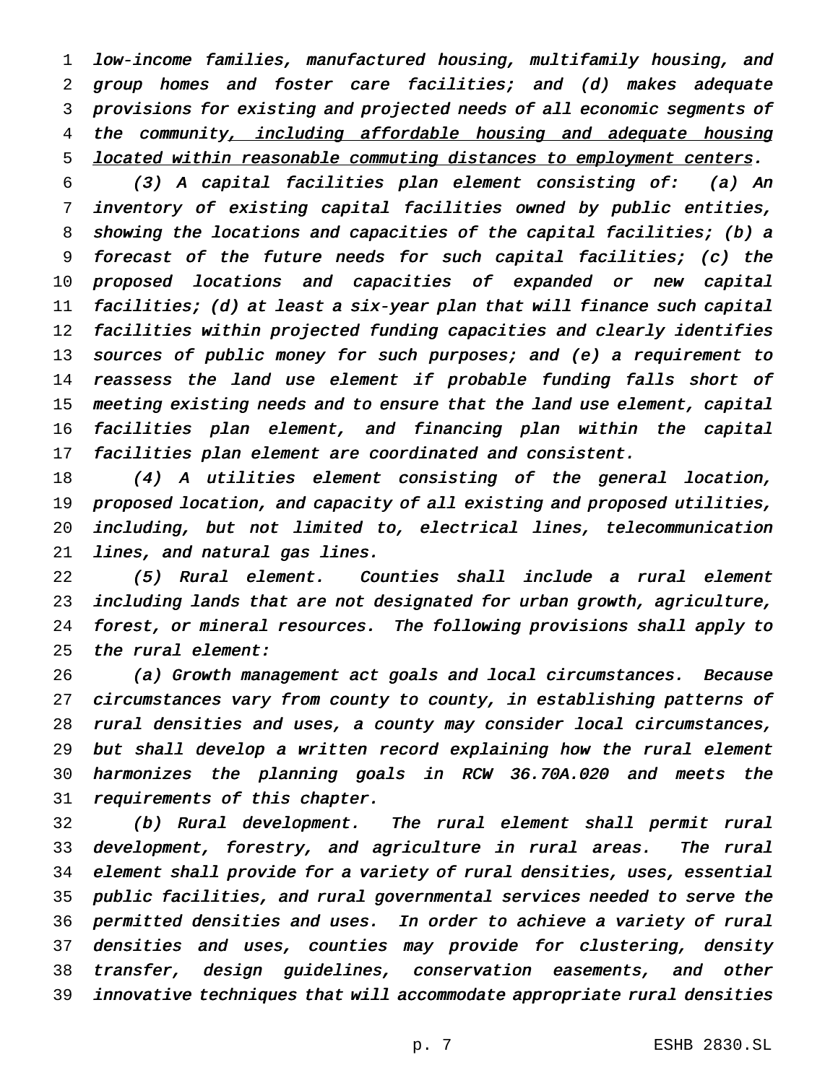low-income families, manufactured housing, multifamily housing, and group homes and foster care facilities; and (d) makes adequate provisions for existing and projected needs of all economic segments of 4 the community, including affordable housing and adequate housing 5 located within reasonable commuting distances to employment centers.

 (3) <sup>A</sup> capital facilities plan element consisting of: (a) An inventory of existing capital facilities owned by public entities, showing the locations and capacities of the capital facilities; (b) <sup>a</sup> forecast of the future needs for such capital facilities; (c) the proposed locations and capacities of expanded or new capital facilities; (d) at least <sup>a</sup> six-year plan that will finance such capital facilities within projected funding capacities and clearly identifies 13 sources of public money for such purposes; and (e) a requirement to 14 reassess the land use element if probable funding falls short of meeting existing needs and to ensure that the land use element, capital facilities plan element, and financing plan within the capital facilities plan element are coordinated and consistent.

 (4) <sup>A</sup> utilities element consisting of the general location, proposed location, and capacity of all existing and proposed utilities, including, but not limited to, electrical lines, telecommunication lines, and natural gas lines.

 (5) Rural element. Counties shall include <sup>a</sup> rural element including lands that are not designated for urban growth, agriculture, forest, or mineral resources. The following provisions shall apply to the rural element:

 (a) Growth management act goals and local circumstances. Because circumstances vary from county to county, in establishing patterns of rural densities and uses, <sup>a</sup> county may consider local circumstances, but shall develop <sup>a</sup> written record explaining how the rural element harmonizes the planning goals in RCW 36.70A.020 and meets the requirements of this chapter.

 (b) Rural development. The rural element shall permit rural development, forestry, and agriculture in rural areas. The rural element shall provide for <sup>a</sup> variety of rural densities, uses, essential public facilities, and rural governmental services needed to serve the permitted densities and uses. In order to achieve <sup>a</sup> variety of rural densities and uses, counties may provide for clustering, density transfer, design guidelines, conservation easements, and other innovative techniques that will accommodate appropriate rural densities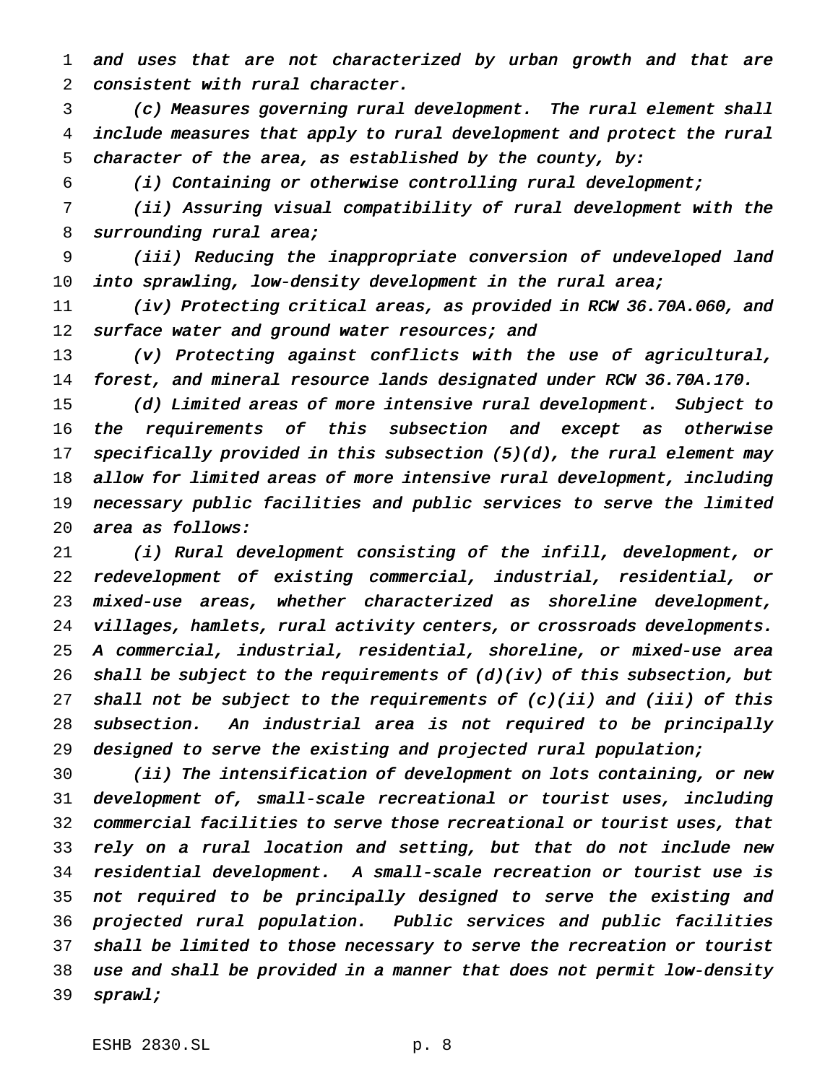and uses that are not characterized by urban growth and that are consistent with rural character.

 (c) Measures governing rural development. The rural element shall include measures that apply to rural development and protect the rural 5 character of the area, as established by the county, by:

(i) Containing or otherwise controlling rural development;

 (ii) Assuring visual compatibility of rural development with the 8 surrounding rural area;

 (iii) Reducing the inappropriate conversion of undeveloped land into sprawling, low-density development in the rural area;

 (iv) Protecting critical areas, as provided in RCW 36.70A.060, and 12 surface water and ground water resources; and

 (v) Protecting against conflicts with the use of agricultural, forest, and mineral resource lands designated under RCW 36.70A.170.

 (d) Limited areas of more intensive rural development. Subject to 16 the requirements of this subsection and except as otherwise specifically provided in this subsection (5)(d), the rural element may allow for limited areas of more intensive rural development, including necessary public facilities and public services to serve the limited area as follows:

 (i) Rural development consisting of the infill, development, or redevelopment of existing commercial, industrial, residential, or mixed-use areas, whether characterized as shoreline development, villages, hamlets, rural activity centers, or crossroads developments. <sup>A</sup> commercial, industrial, residential, shoreline, or mixed-use area 26 shall be subject to the requirements of  $(d)(iv)$  of this subsection, but 27 shall not be subject to the requirements of  $(c)(ii)$  and  $(iii)$  of this subsection. An industrial area is not required to be principally designed to serve the existing and projected rural population;

 (ii) The intensification of development on lots containing, or new development of, small-scale recreational or tourist uses, including commercial facilities to serve those recreational or tourist uses, that rely on <sup>a</sup> rural location and setting, but that do not include new residential development. <sup>A</sup> small-scale recreation or tourist use is not required to be principally designed to serve the existing and projected rural population. Public services and public facilities shall be limited to those necessary to serve the recreation or tourist use and shall be provided in <sup>a</sup> manner that does not permit low-density sprawl;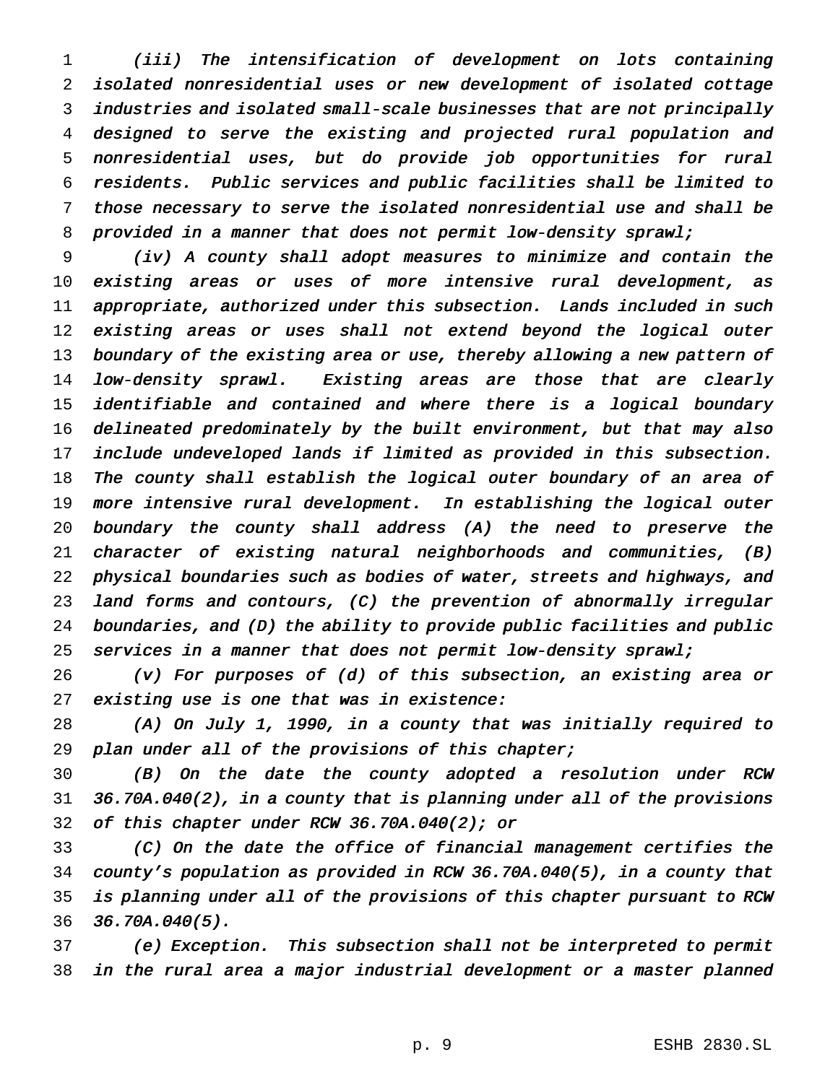(iii) The intensification of development on lots containing isolated nonresidential uses or new development of isolated cottage industries and isolated small-scale businesses that are not principally designed to serve the existing and projected rural population and nonresidential uses, but do provide job opportunities for rural residents. Public services and public facilities shall be limited to those necessary to serve the isolated nonresidential use and shall be 8 provided in a manner that does not permit low-density sprawl;

 (iv) <sup>A</sup> county shall adopt measures to minimize and contain the existing areas or uses of more intensive rural development, as appropriate, authorized under this subsection. Lands included in such 12 existing areas or uses shall not extend beyond the logical outer boundary of the existing area or use, thereby allowing <sup>a</sup> new pattern of low-density sprawl. Existing areas are those that are clearly 15 identifiable and contained and where there is a logical boundary delineated predominately by the built environment, but that may also include undeveloped lands if limited as provided in this subsection. 18 The county shall establish the logical outer boundary of an area of more intensive rural development. In establishing the logical outer boundary the county shall address (A) the need to preserve the character of existing natural neighborhoods and communities, (B) physical boundaries such as bodies of water, streets and highways, and land forms and contours, (C) the prevention of abnormally irregular boundaries, and (D) the ability to provide public facilities and public services in <sup>a</sup> manner that does not permit low-density sprawl;

 (v) For purposes of (d) of this subsection, an existing area or existing use is one that was in existence:

 (A) On July 1, 1990, in <sup>a</sup> county that was initially required to plan under all of the provisions of this chapter;

 (B) On the date the county adopted <sup>a</sup> resolution under RCW 36.70A.040(2), in <sup>a</sup> county that is planning under all of the provisions of this chapter under RCW 36.70A.040(2); or

 (C) On the date the office of financial management certifies the county's population as provided in RCW 36.70A.040(5), in <sup>a</sup> county that is planning under all of the provisions of this chapter pursuant to RCW 36.70A.040(5).

 (e) Exception. This subsection shall not be interpreted to permit in the rural area <sup>a</sup> major industrial development or <sup>a</sup> master planned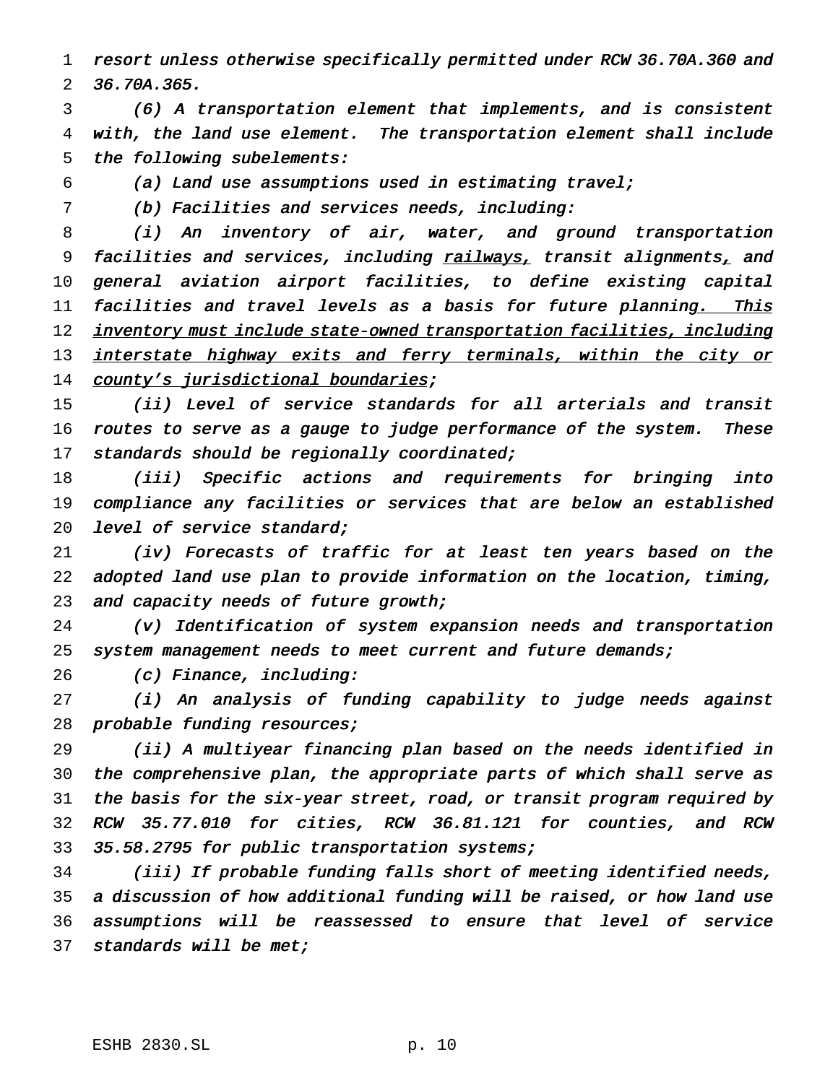resort unless otherwise specifically permitted under RCW 36.70A.360 and 36.70A.365.

 (6) <sup>A</sup> transportation element that implements, and is consistent with, the land use element. The transportation element shall include the following subelements:

(a) Land use assumptions used in estimating travel;

(b) Facilities and services needs, including:

 (i) An inventory of air, water, and ground transportation 9 facilities and services, including railways, transit alignments, and general aviation airport facilities, to define existing capital 11 facilities and travel levels as a basis for future planning. This 12 inventory must include state-owned transportation facilities, including 13 interstate highway exits and ferry terminals, within the city or 14 county's jurisdictional boundaries;

 (ii) Level of service standards for all arterials and transit 16 routes to serve as a gauge to judge performance of the system. These 17 standards should be regionally coordinated;

 (iii) Specific actions and requirements for bringing into compliance any facilities or services that are below an established 20 level of service standard;

 (iv) Forecasts of traffic for at least ten years based on the adopted land use plan to provide information on the location, timing, 23 and capacity needs of future growth;

 (v) Identification of system expansion needs and transportation 25 system management needs to meet current and future demands;

26 (c) Finance, including:

 (i) An analysis of funding capability to judge needs against 28 probable funding resources;

 (ii) <sup>A</sup> multiyear financing plan based on the needs identified in the comprehensive plan, the appropriate parts of which shall serve as the basis for the six-year street, road, or transit program required by RCW 35.77.010 for cities, RCW 36.81.121 for counties, and RCW 33 35.58.2795 for public transportation systems;

 (iii) If probable funding falls short of meeting identified needs, <sup>a</sup> discussion of how additional funding will be raised, or how land use assumptions will be reassessed to ensure that level of service 37 standards will be met;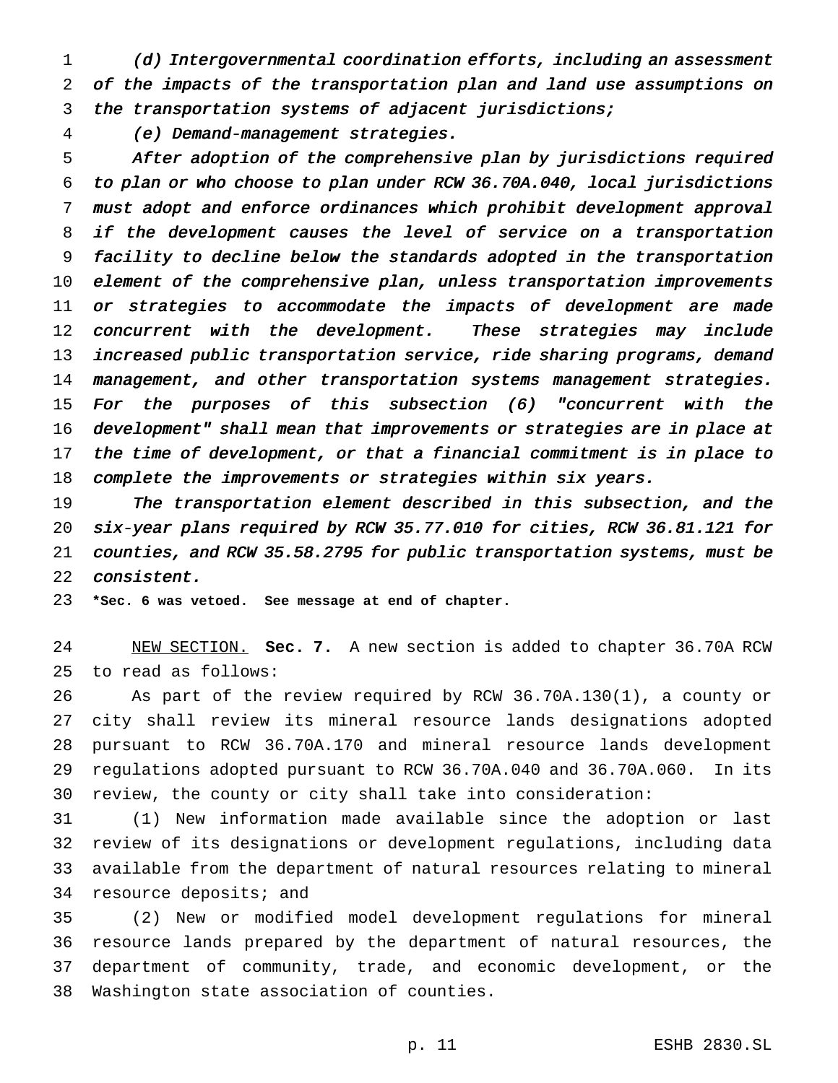(d) Intergovernmental coordination efforts, including an assessment of the impacts of the transportation plan and land use assumptions on the transportation systems of adjacent jurisdictions;

(e) Demand-management strategies.

 After adoption of the comprehensive plan by jurisdictions required to plan or who choose to plan under RCW 36.70A.040, local jurisdictions must adopt and enforce ordinances which prohibit development approval 8 if the development causes the level of service on a transportation facility to decline below the standards adopted in the transportation element of the comprehensive plan, unless transportation improvements 11 or strategies to accommodate the impacts of development are made 12 concurrent with the development. These strategies may include increased public transportation service, ride sharing programs, demand management, and other transportation systems management strategies. For the purposes of this subsection (6) "concurrent with the 16 development" shall mean that improvements or strategies are in place at the time of development, or that <sup>a</sup> financial commitment is in place to complete the improvements or strategies within six years.

 The transportation element described in this subsection, and the six-year plans required by RCW 35.77.010 for cities, RCW 36.81.121 for counties, and RCW 35.58.2795 for public transportation systems, must be consistent.

**\*Sec. 6 was vetoed. See message at end of chapter.**

 NEW SECTION. **Sec. 7.** A new section is added to chapter 36.70A RCW to read as follows:

 As part of the review required by RCW 36.70A.130(1), a county or city shall review its mineral resource lands designations adopted pursuant to RCW 36.70A.170 and mineral resource lands development regulations adopted pursuant to RCW 36.70A.040 and 36.70A.060. In its review, the county or city shall take into consideration:

 (1) New information made available since the adoption or last review of its designations or development regulations, including data available from the department of natural resources relating to mineral 34 resource deposits; and

 (2) New or modified model development regulations for mineral resource lands prepared by the department of natural resources, the department of community, trade, and economic development, or the Washington state association of counties.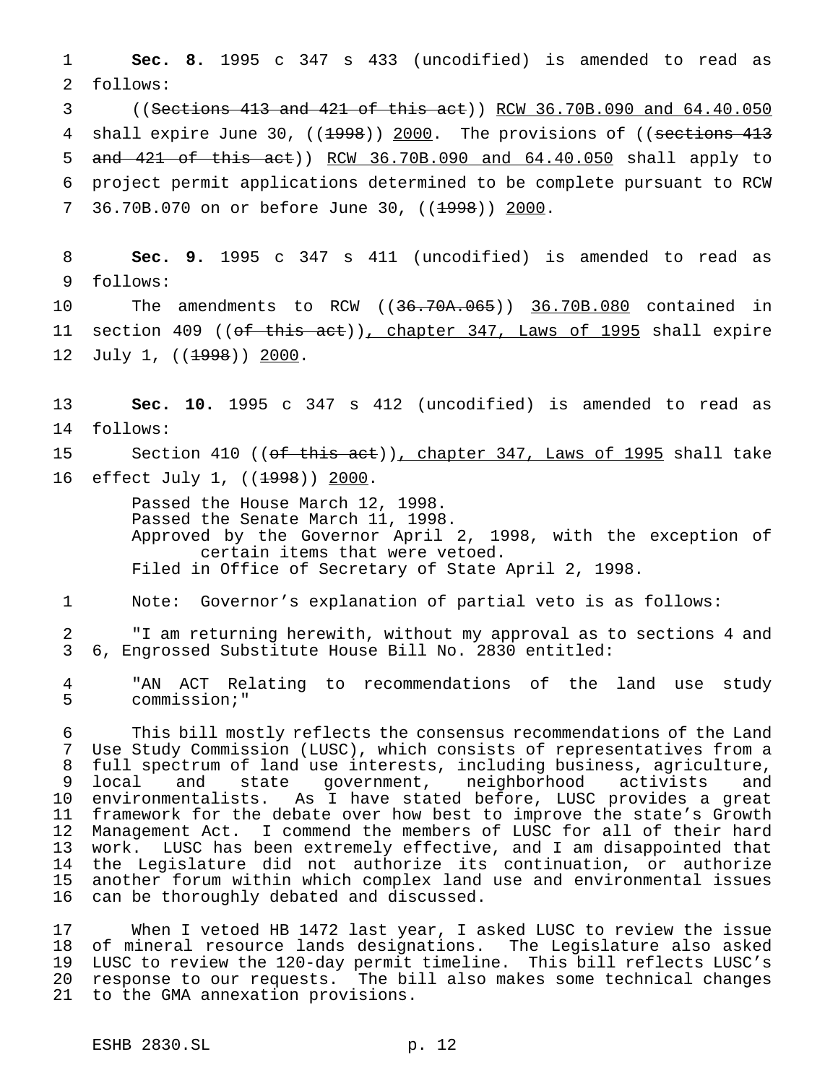**Sec. 8.** 1995 c 347 s 433 (uncodified) is amended to read as follows:

 ((Sections 413 and 421 of this act)) RCW 36.70B.090 and 64.40.050 4 shall expire June 30, ((1998)) 2000. The provisions of ((sections 413 and 421 of this act)) RCW 36.70B.090 and 64.40.050 shall apply to project permit applications determined to be complete pursuant to RCW 7 36.70B.070 on or before June 30, ((1998)) 2000.

 **Sec. 9.** 1995 c 347 s 411 (uncodified) is amended to read as follows: The amendments to RCW ((36.70A.065)) 36.70B.080 contained in

11 section 409 ((of this act)), chapter 347, Laws of 1995 shall expire 12 July 1, ((<del>1998</del>)) 2000.

 **Sec. 10.** 1995 c 347 s 412 (uncodified) is amended to read as follows:

15 Section 410 ((<del>of this act</del>))<u>, chapter 347, Laws of 1995</u> shall take 16 effect July 1, ((<del>1998</del>)) 2000.

> Passed the House March 12, 1998. Passed the Senate March 11, 1998. Approved by the Governor April 2, 1998, with the exception of certain items that were vetoed. Filed in Office of Secretary of State April 2, 1998.

Note: Governor's explanation of partial veto is as follows:

 "I am returning herewith, without my approval as to sections 4 and 6, Engrossed Substitute House Bill No. 2830 entitled:

 "AN ACT Relating to recommendations of the land use study commission;"

 This bill mostly reflects the consensus recommendations of the Land Use Study Commission (LUSC), which consists of representatives from a full spectrum of land use interests, including business, agriculture, local and state government, neighborhood activists and environmentalists. As I have stated before, LUSC provides a great framework for the debate over how best to improve the state's Growth Management Act. I commend the members of LUSC for all of their hard work. LUSC has been extremely effective, and I am disappointed that the Legislature did not authorize its continuation, or authorize another forum within which complex land use and environmental issues can be thoroughly debated and discussed.

 When I vetoed HB 1472 last year, I asked LUSC to review the issue of mineral resource lands designations. The Legislature also asked LUSC to review the 120-day permit timeline. This bill reflects LUSC's response to our requests. The bill also makes some technical changes to the GMA annexation provisions.